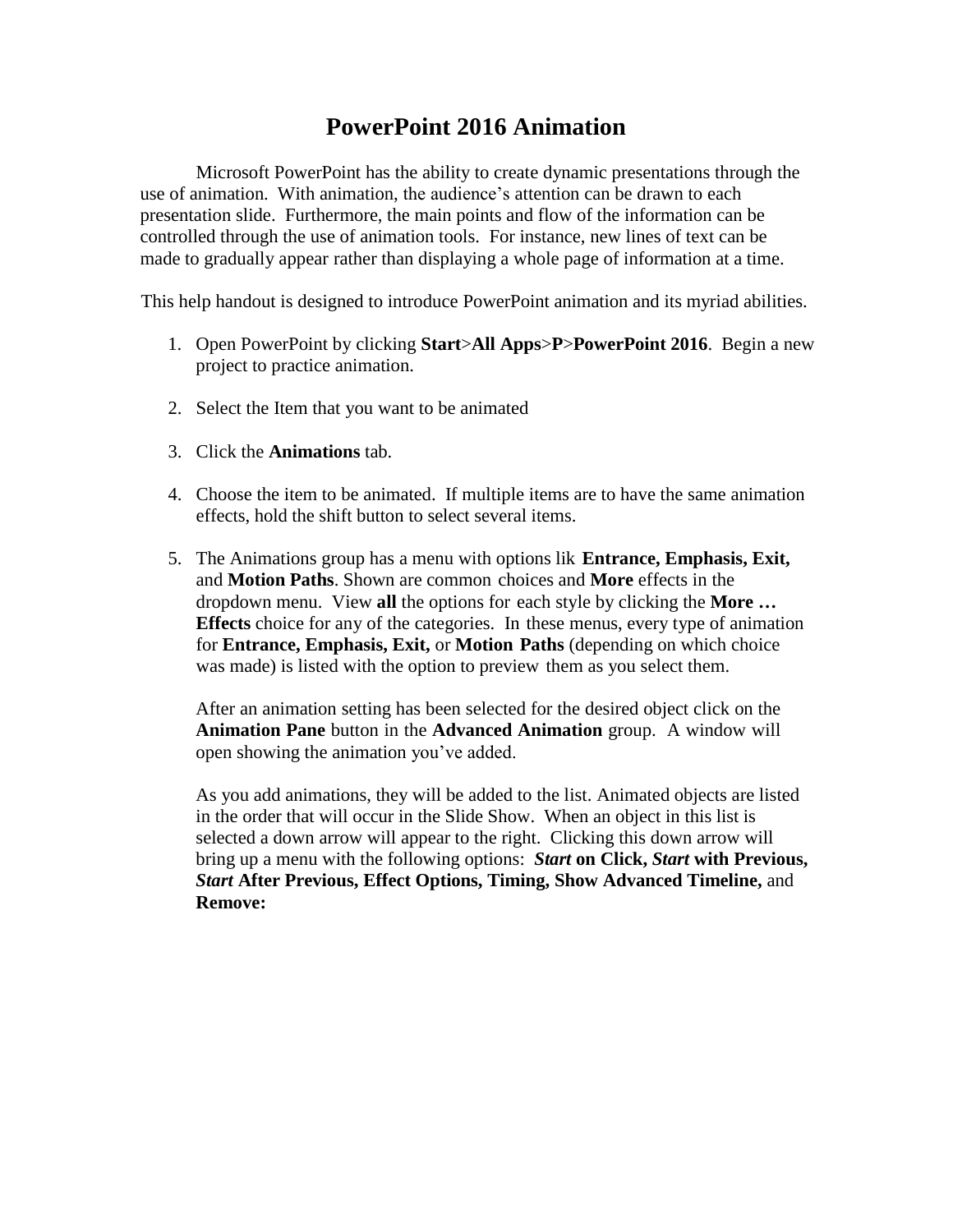## **PowerPoint 2016 Animation**

Microsoft PowerPoint has the ability to create dynamic presentations through the use of animation. With animation, the audience's attention can be drawn to each presentation slide. Furthermore, the main points and flow of the information can be controlled through the use of animation tools. For instance, new lines of text can be made to gradually appear rather than displaying a whole page of information at a time.

This help handout is designed to introduce PowerPoint animation and its myriad abilities.

- 1. Open PowerPoint by clicking **Start**>**All Apps**>**P**>**PowerPoint 2016**. Begin a new project to practice animation.
- 2. Select the Item that you want to be animated
- 3. Click the **Animations** tab.
- 4. Choose the item to be animated. If multiple items are to have the same animation effects, hold the shift button to select several items.
- 5. The Animations group has a menu with options lik **Entrance, Emphasis, Exit,**  and **Motion Paths**. Shown are common choices and **More** effects in the dropdown menu. View **all** the options for each style by clicking the **More … Effects** choice for any of the categories. In these menus, every type of animation for **Entrance, Emphasis, Exit,** or **Motion Paths** (depending on which choice was made) is listed with the option to preview them as you select them.

After an animation setting has been selected for the desired object click on the **Animation Pane** button in the **Advanced Animation** group. A window will open showing the animation you've added.

As you add animations, they will be added to the list. Animated objects are listed in the order that will occur in the Slide Show. When an object in this list is selected a down arrow will appear to the right. Clicking this down arrow will bring up a menu with the following options: *Start* **on Click,** *Start* **with Previous,** *Start* **After Previous, Effect Options, Timing, Show Advanced Timeline,** and **Remove:**